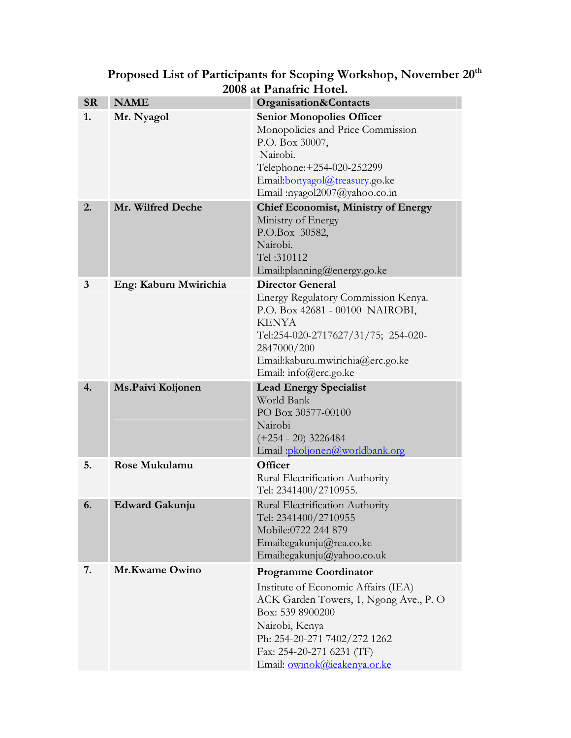| <b>SR</b> | <b>NAME</b>           | Organisation&Contacts                                                                                                                                                                                                                            |
|-----------|-----------------------|--------------------------------------------------------------------------------------------------------------------------------------------------------------------------------------------------------------------------------------------------|
| 1.        | Mr. Nyagol            | <b>Senior Monopolies Officer</b><br>Monopolicies and Price Commission<br>P.O. Box 30007,<br>Nairobi.<br>Telephone: +254-020-252299<br>Email:bonyagol@treasury.go.ke<br>Email:nyagol2007@yahoo.co.in                                              |
| 2.        | Mr. Wilfred Deche     | <b>Chief Economist, Ministry of Energy</b><br>Ministry of Energy<br>P.O.Box 30582,<br>Nairobi.<br>Tel: 310112<br>Email:planning@energy.go.ke                                                                                                     |
| 3         | Eng: Kaburu Mwirichia | <b>Director General</b><br>Energy Regulatory Commission Kenya.<br>P.O. Box 42681 - 00100 NAIROBI,<br><b>KENYA</b><br>Tel:254-020-2717627/31/75; 254-020-<br>2847000/200<br>Email:kaburu.mwirichia@erc.go.ke<br>Email: info@erc.go.ke             |
| 4.        | Ms.Paivi Koljonen     | <b>Lead Energy Specialist</b><br>World Bank<br>PO Box 30577-00100<br>Nairobi<br>$(+254 - 20)$ 3226484<br>Email: pkoljonen@worldbank.org                                                                                                          |
| 5.        | Rose Mukulamu         | Officer<br>Rural Electrification Authority<br>Tel: 2341400/2710955.                                                                                                                                                                              |
| 6.        | <b>Edward Gakunju</b> | Rural Electrification Authority<br>Tel: 2341400/2710955<br>Mobile:0722 244 879<br>Email:egakunju@rea.co.ke<br>Email:egakunju@yahoo.co.uk                                                                                                         |
| 7.        | Mr.Kwame Owino        | <b>Programme Coordinator</b><br>Institute of Economic Affairs (IEA)<br>ACK Garden Towers, 1, Ngong Ave., P. O<br>Box: 539 8900200<br>Nairobi, Kenya<br>Ph: 254-20-271 7402/272 1262<br>Fax: 254-20-271 6231 (TF)<br>Email: owinok@ieakenya.or.ke |

## **Proposed List of Participants for Scoping Workshop, November 20th 2008 at Panafric Hotel.**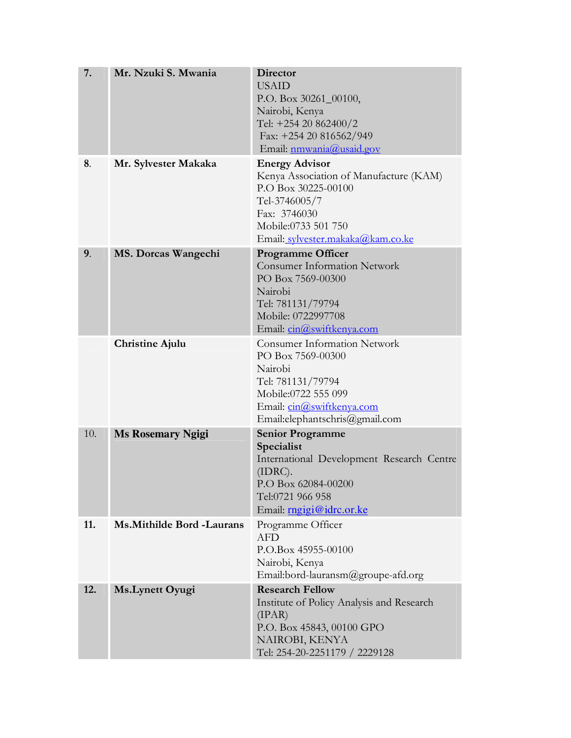| 7.  | Mr. Nzuki S. Mwania         | <b>Director</b><br><b>USAID</b><br>P.O. Box 30261_00100,<br>Nairobi, Kenya<br>Tel: +254 20 862400/2<br>Fax: +254 20 816562/949<br>Email: nmwania@usaid.gov                          |
|-----|-----------------------------|-------------------------------------------------------------------------------------------------------------------------------------------------------------------------------------|
| 8.  | Mr. Sylvester Makaka        | <b>Energy Advisor</b><br>Kenya Association of Manufacture (KAM)<br>P.O Box 30225-00100<br>Tel-3746005/7<br>Fax: 3746030<br>Mobile:0733 501 750<br>Email: sylvester.makaka@kam.co.ke |
| 9.  | MS. Dorcas Wangechi         | <b>Programme Officer</b><br><b>Consumer Information Network</b><br>PO Box 7569-00300<br>Nairobi<br>Tel: 781131/79794<br>Mobile: 0722997708<br>Email: cin@swiftkenya.com             |
|     | <b>Christine Ajulu</b>      | <b>Consumer Information Network</b><br>PO Box 7569-00300<br>Nairobi<br>Tel: 781131/79794<br>Mobile:0722 555 099<br>Email: cin@swiftkenya.com<br>Email:elephantschris@gmail.com      |
| 10. | <b>Ms Rosemary Ngigi</b>    | <b>Senior Programme</b><br>Specialist<br>International Development Research Centre<br>(IDRC).<br>P.O Box 62084-00200<br>Tel:0721 966 958<br>Email: mgigi@idrc.or.ke                 |
| 11. | Ms. Mithilde Bord - Laurans | Programme Officer<br><b>AFD</b><br>P.O.Box 45955-00100<br>Nairobi, Kenya<br>Email:bord-lauransm@groupe-afd.org                                                                      |
| 12. | Ms. Lynett Oyugi            | <b>Research Fellow</b><br>Institute of Policy Analysis and Research<br>(IPAR)<br>P.O. Box 45843, 00100 GPO<br>NAIROBI, KENYA<br>Tel: 254-20-2251179 / 2229128                       |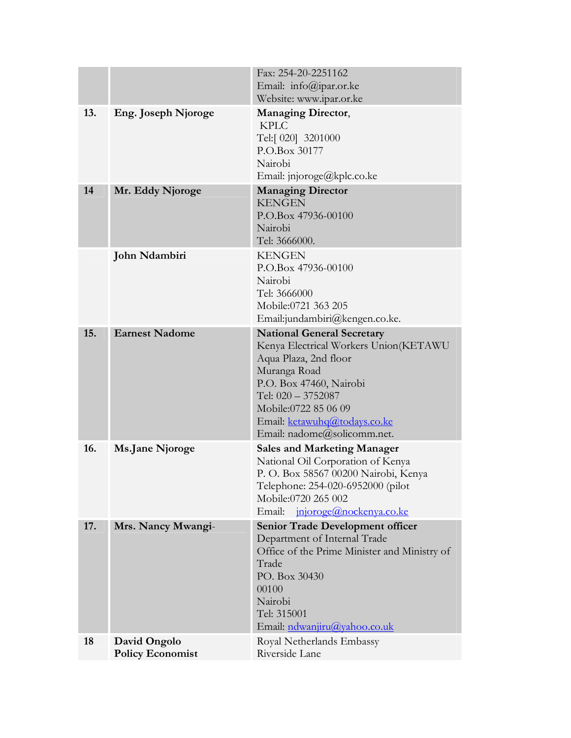|     |                                         | Fax: 254-20-2251162<br>Email: info@ipar.or.ke<br>Website: www.ipar.or.ke                                                                                                                                                                                    |
|-----|-----------------------------------------|-------------------------------------------------------------------------------------------------------------------------------------------------------------------------------------------------------------------------------------------------------------|
| 13. | Eng. Joseph Njoroge                     | <b>Managing Director,</b><br><b>KPLC</b><br>Tel:[ 020] 3201000<br>P.O.Box 30177<br>Nairobi<br>Email: jnjoroge@kplc.co.ke                                                                                                                                    |
| 14  | Mr. Eddy Njoroge                        | <b>Managing Director</b><br><b>KENGEN</b><br>P.O.Box 47936-00100<br>Nairobi<br>Tel: 3666000.                                                                                                                                                                |
|     | John Ndambiri                           | <b>KENGEN</b><br>P.O.Box 47936-00100<br>Nairobi<br>Tel: 3666000<br>Mobile:0721 363 205<br>Email:jundambiri@kengen.co.ke.                                                                                                                                    |
| 15. | <b>Earnest Nadome</b>                   | <b>National General Secretary</b><br>Kenya Electrical Workers Union(KETAWU<br>Aqua Plaza, 2nd floor<br>Muranga Road<br>P.O. Box 47460, Nairobi<br>Tel: 020 - 3752087<br>Mobile:0722 85 06 09<br>Email: ketawuhq@todays.co.ke<br>Email: nadome@solicomm.net. |
| 16. | <b>Ms.Jane Njoroge</b>                  | <b>Sales and Marketing Manager</b><br>National Oil Corporation of Kenya<br>P. O. Box 58567 00200 Nairobi, Kenya<br>Telephone: 254-020-6952000 (pilot<br>Mobile:0720 265 002<br>Email:<br>injoroge@nockenya.co.ke                                            |
| 17. | Mrs. Nancy Mwangi-                      | <b>Senior Trade Development officer</b><br>Department of Internal Trade<br>Office of the Prime Minister and Ministry of<br>Trade<br>PO. Box 30430<br>00100<br>Nairobi<br>Tel: 315001<br>Email: ndwanjiru@yahoo.co.uk                                        |
| 18  | David Ongolo<br><b>Policy Economist</b> | Royal Netherlands Embassy<br>Riverside Lane                                                                                                                                                                                                                 |